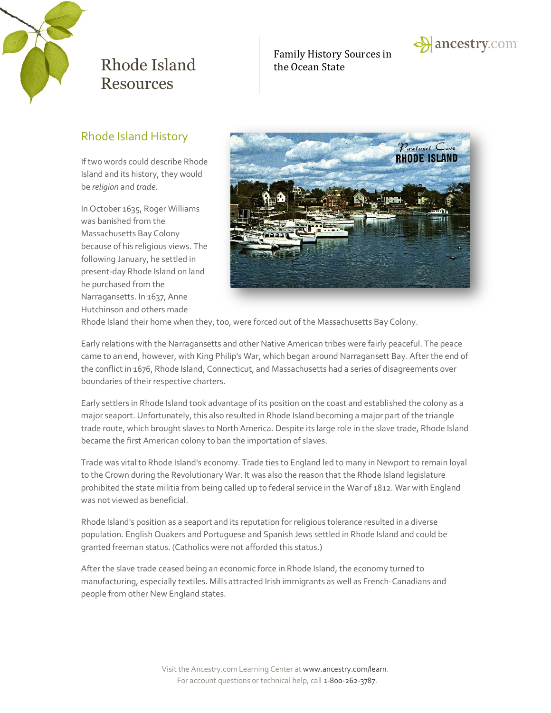

Family History Sources in



## Rhode Island History

If two words could describe Rhode Island and its history, they would be *religion* and *trade*.

In October 1635, Roger Williams was banished from the Massachusetts Bay Colony because of his religious views. The following January, he settled in present-day Rhode Island on land he purchased from the Narragansetts. In 1637, Anne Hutchinson and others made



Rhode Island their home when they, too, were forced out of the Massachusetts Bay Colony.

Early relations with the Narragansetts and other Native American tribes were fairly peaceful. The peace came to an end, however, with King Philip's War, which began around Narragansett Bay. After the end of the conflict in 1676, Rhode Island, Connecticut, and Massachusetts had a series of disagreements over boundaries of their respective charters.

Early settlers in Rhode Island took advantage of its position on the coast and established the colony as a major seaport. Unfortunately, this also resulted in Rhode Island becoming a major part of the triangle trade route, which brought slaves to North America. Despite its large role in the slave trade, Rhode Island became the first American colony to ban the importation of slaves.

Trade was vital to Rhode Island's economy. Trade ties to England led to many in Newport to remain loyal to the Crown during the Revolutionary War. It was also the reason that the Rhode Island legislature prohibited the state militia from being called up to federal service in the War of 1812. War with England was not viewed as beneficial.

Rhode Island's position as a seaport and its reputation for religious tolerance resulted in a diverse population. English Quakers and Portuguese and Spanish Jews settled in Rhode Island and could be granted freeman status. (Catholics were not afforded this status.)

After the slave trade ceased being an economic force in Rhode Island, the economy turned to manufacturing, especially textiles. Mills attracted Irish immigrants as well as French-Canadians and people from other New England states.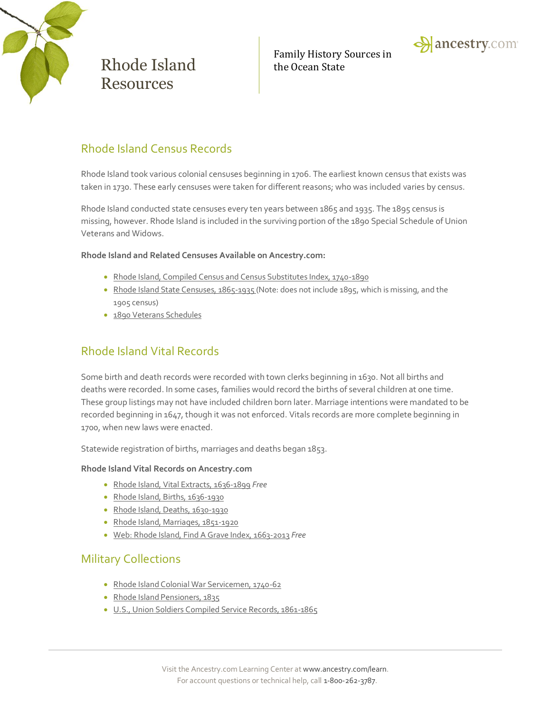

Family History Sources in



### Rhode Island Census Records

Rhode Island took various colonial censuses beginning in 1706. The earliest known census that exists was taken in 1730. These early censuses were taken for different reasons; who was included varies by census.

Rhode Island conducted state censuses every ten years between 1865 and 1935. The 1895 census is missing, however. Rhode Island is included in the surviving portion of the 1890 Special Schedule of Union Veterans and Widows.

#### **Rhode Island and Related Censuses Available on Ancestry.com:**

- [Rhode Island, Compiled Census and Census Substitutes Index, 1740-1890](http://search.ancestry.com/search/db.aspx?dbid=3571)
- [Rhode Island State Censuses, 1865-1935](http://search.ancestry.com/search/db.aspx?dbid=4721) (Note: does not include 1895, which is missing, and the 1905 census)
- [1890 Veterans Schedules](http://search.ancestry.com/search/db.aspx?dbid=8667)

### Rhode Island Vital Records

Some birth and death records were recorded with town clerks beginning in 1630. Not all births and deaths were recorded. In some cases, families would record the births of several children at one time. These group listings may not have included children born later. Marriage intentions were mandated to be recorded beginning in 1647, though it was not enforced. Vitals records are more complete beginning in 1700, when new laws were enacted.

Statewide registration of births, marriages and deaths began 1853.

#### **Rhode Island Vital Records on Ancestry.com**

- [Rhode Island, Vital Extracts, 1636-1899](http://search.ancestry.com/search/db.aspx?dbid=3897) *Free*
- [Rhode Island, Births, 1636-1930](http://search.ancestry.com/search/db.aspx?dbid=4262)
- [Rhode Island, Deaths, 1630-1930](http://search.ancestry.com/search/db.aspx?dbid=4264)
- [Rhode Island, Marriages, 1851-1920](http://search.ancestry.com/search/db.aspx?dbid=4263)
- [Web: Rhode Island, Find A Grave Index, 1663-2013](http://search.ancestry.com/search/db.aspx?dbid=70624) *Free*

### Military Collections

- [Rhode Island Colonial War Servicemen, 1740-62](http://search.ancestry.com/search/db.aspx?dbid=4055)
- [Rhode Island Pensioners, 1835](http://search.ancestry.com/search/db.aspx?dbid=3220)
- [U.S., Union Soldiers Compiled Service Records, 1861-1865](http://search.ancestry.com/search/db.aspx?dbid=2344)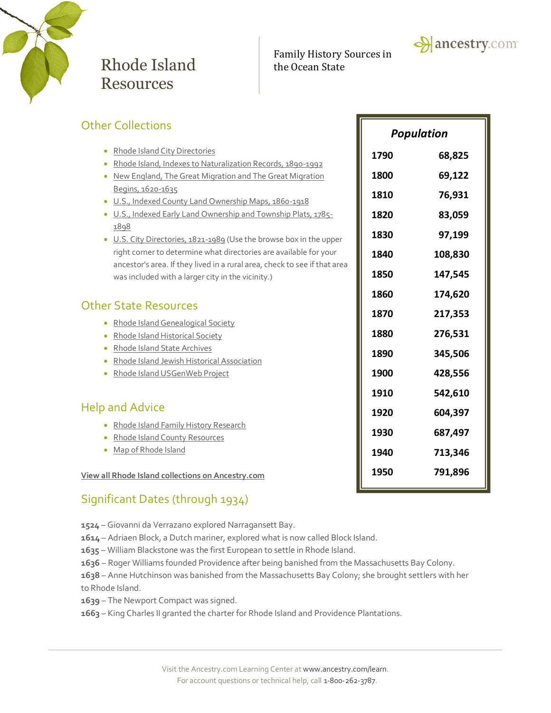

Family History Sources in



| Rhode Island City Directories<br>$\bullet$<br>1790<br>Rhode Island, Indexes to Naturalization Records, 1890-1992<br>1800<br>New England, The Great Migration and The Great Migration<br>Begins, 1620-1635<br>1810<br>U.S., Indexed County Land Ownership Maps, 1860-1918<br>۰<br>U.S., Indexed Early Land Ownership and Township Plats, 1785-<br>1820<br>۰<br>1898<br>1830<br>U.S. City Directories, 1821-1989 (Use the browse box in the upper<br>$\bullet$<br>right corner to determine what directories are available for your<br>1840<br>ancestor's area. If they lived in a rural area, check to see if that area<br>1850<br>was included with a larger city in the vicinity.)<br>1860<br>1870<br>Rhode Island Genealogical Society<br>1880<br>Rhode Island Historical Society<br>۰<br>Rhode Island State Archives<br>1890<br>Rhode Island Jewish Historical Association<br>1900<br>Rhode Island USGenWeb Project<br>1910<br>1920<br>Rhode Island Family History Research<br>1930<br>Rhode Island County Resources<br>Map of Rhode Island<br>۰<br>1940 | <b>Other Collections</b> |  | <b>Population</b>                                                    |  |
|-------------------------------------------------------------------------------------------------------------------------------------------------------------------------------------------------------------------------------------------------------------------------------------------------------------------------------------------------------------------------------------------------------------------------------------------------------------------------------------------------------------------------------------------------------------------------------------------------------------------------------------------------------------------------------------------------------------------------------------------------------------------------------------------------------------------------------------------------------------------------------------------------------------------------------------------------------------------------------------------------------------------------------------------------------------|--------------------------|--|----------------------------------------------------------------------|--|
| <b>Other State Resources</b><br><b>Help and Advice</b>                                                                                                                                                                                                                                                                                                                                                                                                                                                                                                                                                                                                                                                                                                                                                                                                                                                                                                                                                                                                      |                          |  | 68,825<br>69,122<br>76,931<br>83,059<br>97,199<br>108,830<br>147,545 |  |
|                                                                                                                                                                                                                                                                                                                                                                                                                                                                                                                                                                                                                                                                                                                                                                                                                                                                                                                                                                                                                                                             |                          |  | 174,620<br>217,353<br>276,531<br>345,506<br>428,556                  |  |
| 1950<br>View all Rhode Island collections on Ancestry.com                                                                                                                                                                                                                                                                                                                                                                                                                                                                                                                                                                                                                                                                                                                                                                                                                                                                                                                                                                                                   |                          |  | 542,610<br>604,397<br>687,497<br>713,346<br>791,896                  |  |

## Significant Dates (through 1934)

**1524** – Giovanni da Verrazano explored Narragansett Bay.

- **1614** Adriaen Block, a Dutch mariner, explored what is now called Block Island.
- **1635** William Blackstone was the first European to settle in Rhode Island.
- **1636** Roger Williams founded Providence after being banished from the Massachusetts Bay Colony.
- **1638** Anne Hutchinson was banished from the Massachusetts Bay Colony; she brought settlers with her to Rhode Island.
- **1639** The Newport Compact was signed.
- **1663** King Charles II granted the charter for Rhode Island and Providence Plantations.